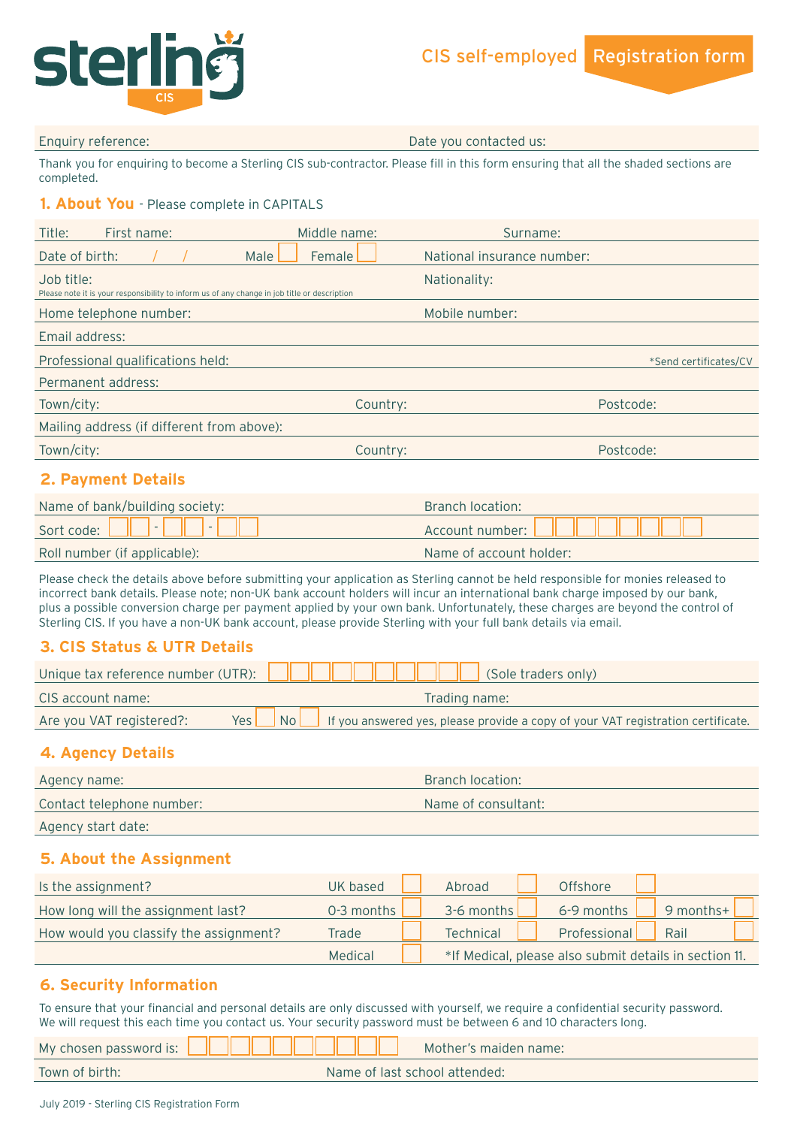

|  |  |  |  |  | Enguiry reference: |  |
|--|--|--|--|--|--------------------|--|
|  |  |  |  |  |                    |  |

Date you contacted us:

Thank you for enquiring to become a Sterling CIS sub-contractor. Please fill in this form ensuring that all the shaded sections are completed.

#### **1. About You** - Please complete in CAPITALS

| Title:<br>First name:                                                                                      | Middle name:  | Surname:                   |                       |
|------------------------------------------------------------------------------------------------------------|---------------|----------------------------|-----------------------|
| Male<br>Date of birth:                                                                                     | <b>Female</b> | National insurance number: |                       |
| Job title:<br>Please note it is your responsibility to inform us of any change in job title or description |               | Nationality:               |                       |
| Home telephone number:                                                                                     |               | Mobile number:             |                       |
| Email address:                                                                                             |               |                            |                       |
| Professional qualifications held:                                                                          |               |                            | *Send certificates/CV |
| Permanent address:                                                                                         |               |                            |                       |
| Town/city:                                                                                                 | Country:      |                            | Postcode:             |
| Mailing address (if different from above):                                                                 |               |                            |                       |
| Town/city:                                                                                                 | Country:      |                            | Postcode:             |
| 2. Payment Details                                                                                         |               |                            |                       |
| Name of bank/building society:                                                                             |               | <b>Branch location:</b>    |                       |
| Sort code:                                                                                                 |               | Account number:            |                       |

Please check the details above before submitting your application as Sterling cannot be held responsible for monies released to incorrect bank details. Please note; non-UK bank account holders will incur an international bank charge imposed by our bank, plus a possible conversion charge per payment applied by your own bank. Unfortunately, these charges are beyond the control of Sterling CIS. If you have a non-UK bank account, please provide Sterling with your full bank details via email.

Roll number (if applicable): Name of account holder:

### **3. CIS Status & UTR Details**

| Unique tax reference number (UTR): | N TIME I SINT<br>(Sole traders only)                                                                                  |
|------------------------------------|-----------------------------------------------------------------------------------------------------------------------|
| CIS account name:                  | Trading name:                                                                                                         |
| Are you VAT registered?:           | If you answered yes, please provide a copy of your VAT registration certificate.<br>$\sqrt{\frac{N_0}{N_0}}$<br>Yes l |

# **4. Agency Details**

| Agency name:              | Branch location:    |
|---------------------------|---------------------|
| Contact telephone number: | Name of consultant: |
| Agency start date:        |                     |

# **5. About the Assignment**

| Is the assignment?                     | UK based   | Abroad           | Offshore                                               |
|----------------------------------------|------------|------------------|--------------------------------------------------------|
| How long will the assignment last?     | 0-3 months | 3-6 months       | $\sqrt{9}$ months+<br>6-9 months                       |
| How would you classify the assignment? | Trade      | <b>Technical</b> | Professional<br>Rail                                   |
|                                        | Medical    |                  | *If Medical, please also submit details in section 11. |

# **6. Security Information**

To ensure that your financial and personal details are only discussed with yourself, we require a confidential security password. We will request this each time you contact us. Your security password must be between 6 and 10 characters long.

| My chosen password is: $\Box$ | Mother's maiden name:         |  |
|-------------------------------|-------------------------------|--|
| Town of birth:                | Name of last school attended: |  |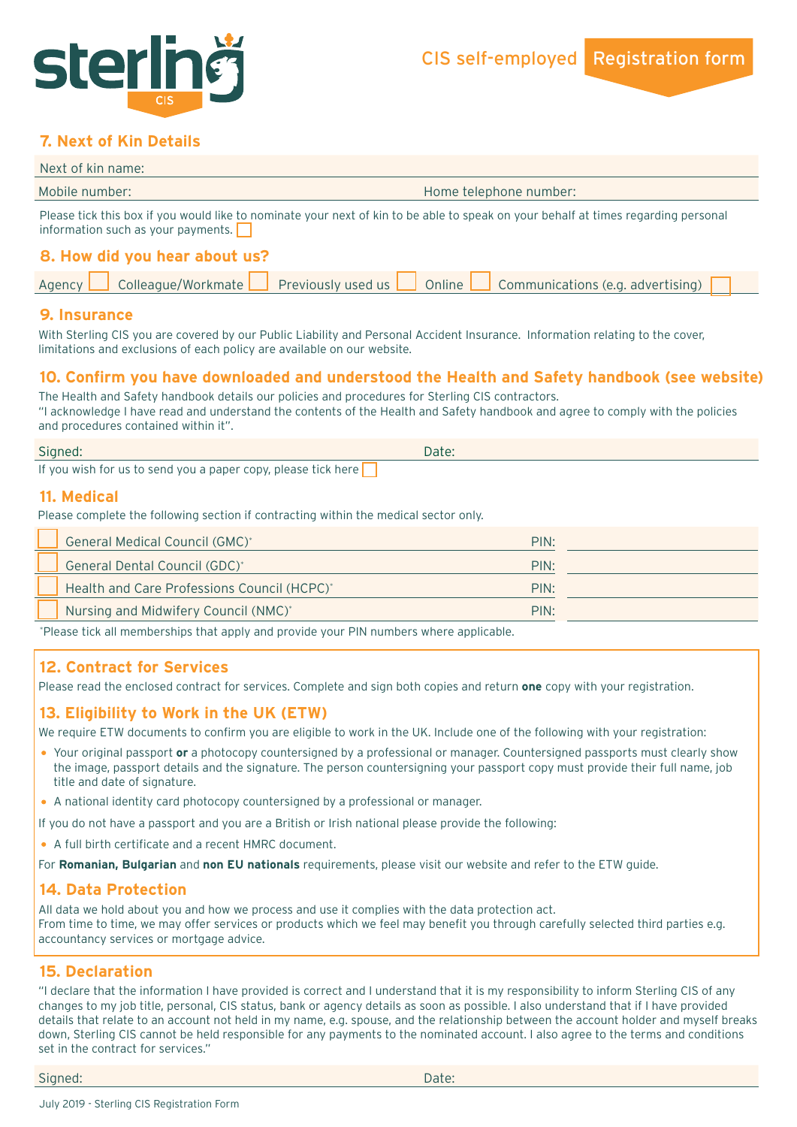

# **7. Next of Kin Details**

| Next of kin name:                                                                                                                                                        |                                                                                                    |
|--------------------------------------------------------------------------------------------------------------------------------------------------------------------------|----------------------------------------------------------------------------------------------------|
| Mobile number:                                                                                                                                                           | Home telephone number:                                                                             |
| Please tick this box if you would like to nominate your next of kin to be able to speak on your behalf at times regarding personal<br>information such as your payments. |                                                                                                    |
| 8. How did you hear about us?                                                                                                                                            |                                                                                                    |
| Colleague/Workmate<br>Agency                                                                                                                                             | <b>Previously used us <math>\Box</math></b> Online $\Box$ Communications (e.g. advertising) $\Box$ |

### **9. Insurance**

With Sterling CIS you are covered by our Public Liability and Personal Accident Insurance. Information relating to the cover, limitations and exclusions of each policy are available on our website.

### **10. Confirm you have downloaded and understood the Health and Safety handbook (see website)**

The Health and Safety handbook details our policies and procedures for Sterling CIS contractors. "I acknowledge I have read and understand the contents of the Health and Safety handbook and agree to comply with the policies and procedures contained within it".

| Signed:                                                       |  |
|---------------------------------------------------------------|--|
| If you wish for us to send you a paper copy, please tick here |  |

### **11. Medical**

Please complete the following section if contracting within the medical sector only.

| <b>General Medical Council (GMC)*</b><br>PIN:       |  |
|-----------------------------------------------------|--|
| General Dental Council (GDC)*<br>PIN:               |  |
| Health and Care Professions Council (HCPC)*<br>PIN: |  |
| Nursing and Midwifery Council (NMC)*<br>PIN:        |  |

\* Please tick all memberships that apply and provide your PIN numbers where applicable.

# **12. Contract for Services**

Please read the enclosed contract for services. Complete and sign both copies and return **one** copy with your registration.

### **13. Eligibility to Work in the UK (ETW)**

We require ETW documents to confirm you are eligible to work in the UK. Include one of the following with your registration:

- Your original passport **or** a photocopy countersigned by a professional or manager. Countersigned passports must clearly show the image, passport details and the signature. The person countersigning your passport copy must provide their full name, job title and date of signature.
- A national identity card photocopy countersigned by a professional or manager.
- If you do not have a passport and you are a British or Irish national please provide the following:
- A full birth certificate and a recent HMRC document.
- For **Romanian, Bulgarian** and **non EU nationals** requirements, please visit our website and refer to the ETW guide.

### **14. Data Protection**

All data we hold about you and how we process and use it complies with the data protection act. From time to time, we may offer services or products which we feel may benefit you through carefully selected third parties e.g. accountancy services or mortgage advice.

### **15. Declaration**

"I declare that the information I have provided is correct and I understand that it is my responsibility to inform Sterling CIS of any changes to my job title, personal, CIS status, bank or agency details as soon as possible. I also understand that if I have provided details that relate to an account not held in my name, e.g. spouse, and the relationship between the account holder and myself breaks down, Sterling CIS cannot be held responsible for any payments to the nominated account. I also agree to the terms and conditions set in the contract for services."

Signed: National Contract of the Contract of the Contract of the Contract of the Date: